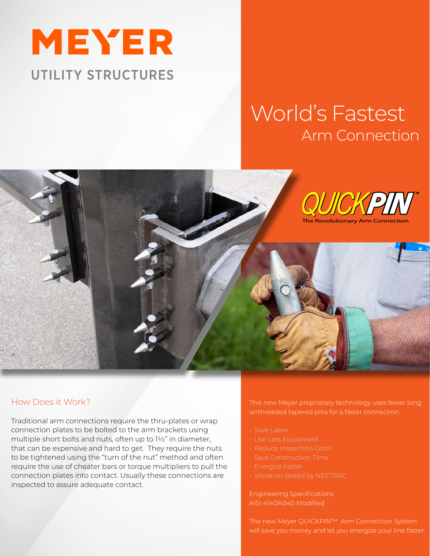

## World's Fastest Arm Connection



## How Does it Work?

Traditional arm connections require the thru-plates or wrap connection plates to be bolted to the arm brackets using multiple short bolts and nuts, often up to 1½" in diameter, that can be expensive and hard to get. They require the nuts to be tightened using the "turn of the nut" method and often require the use of cheater bars or torque multipliers to pull the connection plates into contact. Usually these connections are inspected to assure adequate contact.

This new Meyer proprietary technology uses fewer long unthreaded tapered pins for a faster connection.

- Save Labor
- 
- 
- 
- 
- 

Engineering Specifications AISI 4140/4340 Modified

The new Meyer QUICKPIN™ Arm Connection System will save you money and let you energize your line faster.